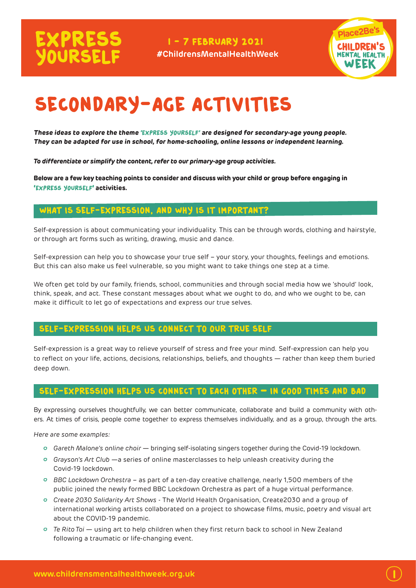I - 7 FEBRUARY 2021 **#ChildrensMentalHealthWeek**



 $\overline{\mathbf{l}}$ 

# SECONDARY-AGE ACTIVITIES

**These ideas to explore the theme '**Express Yourself**' are designed for secondary-age young people. They can be adapted for use in school, for home-schooling, online lessons or independent learning.**

*To differentiate or simplify the content, refer to our primary-age group activities.*

**Below are a few key teaching points to consider and discuss with your child or group before engaging in '**express yourself**' activities.** 

#### What is self-expression, and why is it important?

Self-expression is about communicating your individuality. This can be through words, clothing and hairstyle, or through art forms such as writing, drawing, music and dance.

Self-expression can help you to showcase your true self – your story, your thoughts, feelings and emotions. But this can also make us feel vulnerable, so you might want to take things one step at a time.

We often get told by our family, friends, school, communities and through social media how we 'should' look, think, speak, and act. These constant messages about what we ought to do, and who we ought to be, can make it difficult to let go of expectations and express our true selves.

#### Self-expression helps us connect to our true self

Self-expression is a great way to relieve yourself of stress and free your mind. Self-expression can help you to reflect on your life, actions, decisions, relationships, beliefs, and thoughts — rather than keep them buried deep down.

#### Self-expression helps us connect to each other **–** in good times and bad

By expressing ourselves thoughtfully, we can better communicate, collaborate and build a community with others. At times of crisis, people come together to express themselves individually, and as a group, through the arts.

*Here are some examples:*

- *Gareth Malone's online choir* bringing self-isolating singers together during the Covid-19 lockdown.
- *Grayson's Art Club* —a series of online masterclasses to help unleash creativity during the Covid-19 lockdown.
- *BBC Lockdown Orchestra* as part of a ten-day creative challenge, nearly 1,500 members of the public joined the newly formed BBC Lockdown Orchestra as part of a huge virtual performance.
- *Create 2030 Solidarity Art Shows* The World Health Organisation, Create2030 and a group of international working artists collaborated on a project to showcase films, music, poetry and visual art about the COVID-19 pandemic.
- *Te Rito Toi*  using art to help children when they first return back to school in New Zealand following a traumatic or life-changing event.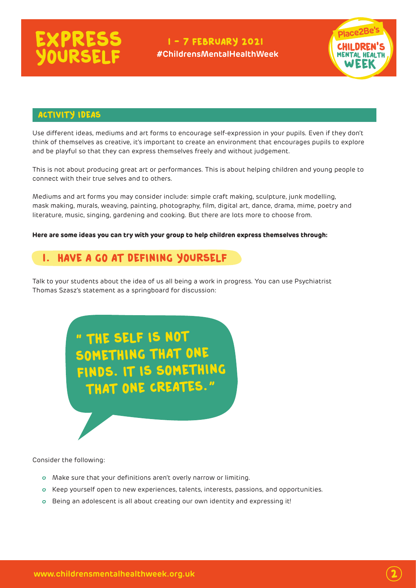#### I - 7 FEBRUARY 2021 **#ChildrensMentalHealthWeek**



#### Activity ideas

Use different ideas, mediums and art forms to encourage self-expression in your pupils. Even if they don't think of themselves as creative, it's important to create an environment that encourages pupils to explore and be playful so that they can express themselves freely and without judgement.

This is not about producing great art or performances. This is about helping children and young people to connect with their true selves and to others.

Mediums and art forms you may consider include: simple craft making, sculpture, junk modelling, mask making, murals, weaving, painting, photography, film, digital art, dance, drama, mime, poetry and literature, music, singing, gardening and cooking. But there are lots more to choose from.

#### **Here are some ideas you can try with your group to help children express themselves through:**

### 1. Have a go at defining yourself

Talk to your students about the idea of us all being a work in progress. You can use Psychiatrist Thomas Szasz's statement as a springboard for discussion:

> **"** the self is not something that one finds. It is something that one creates.**"**

Consider the following:

.

- Make sure that your definitions aren't overly narrow or limiting.
- Keep yourself open to new experiences, talents, interests, passions, and opportunities.
- Being an adolescent is all about creating our own identity and expressing it!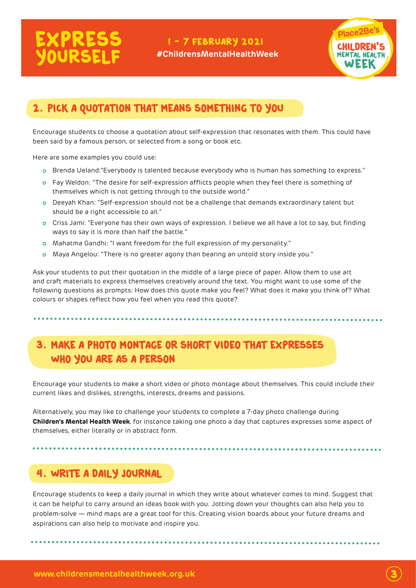### I - 7 FEBRUARY 2021 **#ChildrensMentalHealthWeek**



# 2. Pick a quotation that means something to you

Encourage students to choose a quotation about self-expression that resonates with them. This could have been said by a famous person, or selected from a song or book etc.

Here are some examples you could use:

- Brenda Ueland:"Everybody is talented because everybody who is human has something to express."
- Fay Weldon: "The desire for self-expression afflicts people when they feel there is something of themselves which is not getting through to the outside world."
- Deeyah Khan: "Self-expression should not be a challenge that demands extraordinary talent but should be a right accessible to all."
- Criss Jami: "Everyone has their own ways of expression. I believe we all have a lot to say, but finding ways to say it is more than half the battle."
- Mahatma Gandhi: "I want freedom for the full expression of my personality."
- Maya Angelou: "There is no greater agony than bearing an untold story inside you."

Ask your students to put their quotation in the middle of a large piece of paper. Allow them to use art and craft materials to express themselves creatively around the text. You might want to use some of the following questions as prompts: How does this quote make you feel? What does it make you think of? What colours or shapes reflect how you feel when you read this quote?

 3. Make a photo montage or short video that expresses WHO you are as a person

Encourage your students to make a short video or photo montage about themselves. This could include their current likes and dislikes, strengths, interests, dreams and passions.

Alternatively, you may like to challenge your students to complete a 7-day photo challenge during **Children's Mental Health Week**, for instance taking one photo a day that captures expresses some aspect of themselves, either literally or in abstract form.

### 4. Write a daily journal

Encourage students to keep a daily journal in which they write about whatever comes to mind. Suggest that it can be helpful to carry around an ideas book with you. Jotting down your thoughts can also help you to problem-solve — mind maps are a great tool for this. Creating vision boards about your future dreams and aspirations can also help to motivate and inspire you.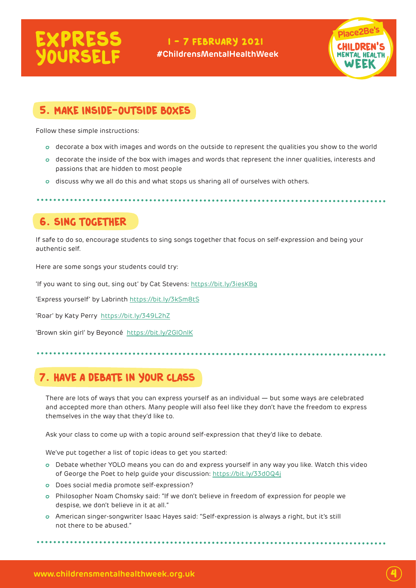### I - 7 FEBRUARY 2021 **#ChildrensMentalHealthWeek**



## 5. Make inside-outside boxes

Follow these simple instructions:

- decorate a box with images and words on the outside to represent the qualities you show to the world
- decorate the inside of the box with images and words that represent the inner qualities, interests and passions that are hidden to most people
- discuss why we all do this and what stops us sharing all of ourselves with others.

6. Sing together

If safe to do so, encourage students to sing songs together that focus on self-expression and being your authentic self.

Here are some songs your students could try:

'If you want to sing out, sing out' by Cat Stevens:<https://bit.ly/3iesKBg>

'Express yourself' by Labrinth <https://bit.ly/3kSm8tS>

'Roar' by Katy Perry <https://bit.ly/349L2hZ>

'Brown skin girl' by Beyoncé <https://bit.ly/2GlOnlK>

# 7. Have a debate in your class

There are lots of ways that you can express yourself as an individual — but some ways are celebrated and accepted more than others. Many people will also feel like they don't have the freedom to express themselves in the way that they'd like to.

Ask your class to come up with a topic around self-expression that they'd like to debate.

We've put together a list of topic ideas to get you started:

- Debate whether YOLO means you can do and express yourself in any way you like. Watch this video of George the Poet to help guide your discussion:<https://bit.ly/33d0Q4j>
- o Does social media promote self-expression?
- Philosopher Noam Chomsky said: "If we don't believe in freedom of expression for people we despise, we don't believe in it at all."
- American singer-songwriter Isaac Hayes said: "Self-expression is always a right, but it's still not there to be abused."